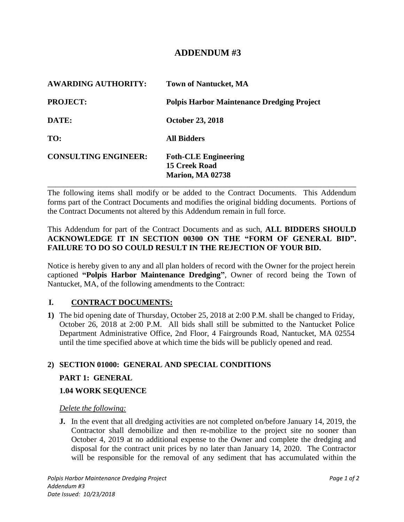# **ADDENDUM #3**

| <b>AWARDING AUTHORITY:</b>  | <b>Town of Nantucket, MA</b>                                            |
|-----------------------------|-------------------------------------------------------------------------|
| <b>PROJECT:</b>             | <b>Polpis Harbor Maintenance Dredging Project</b>                       |
| DATE:                       | <b>October 23, 2018</b>                                                 |
| TO:                         | <b>All Bidders</b>                                                      |
| <b>CONSULTING ENGINEER:</b> | <b>Foth-CLE Engineering</b><br>15 Creek Road<br><b>Marion, MA 02738</b> |

The following items shall modify or be added to the Contract Documents. This Addendum forms part of the Contract Documents and modifies the original bidding documents. Portions of the Contract Documents not altered by this Addendum remain in full force.

This Addendum for part of the Contract Documents and as such, **ALL BIDDERS SHOULD ACKNOWLEDGE IT IN SECTION 00300 ON THE "FORM OF GENERAL BID". FAILURE TO DO SO COULD RESULT IN THE REJECTION OF YOUR BID.**

Notice is hereby given to any and all plan holders of record with the Owner for the project herein captioned **"Polpis Harbor Maintenance Dredging"**, Owner of record being the Town of Nantucket, MA, of the following amendments to the Contract:

#### **I. CONTRACT DOCUMENTS:**

**1)** The bid opening date of Thursday, October 25, 2018 at 2:00 P.M. shall be changed to Friday, October 26, 2018 at 2:00 P.M. All bids shall still be submitted to the Nantucket Police Department Administrative Office, 2nd Floor, 4 Fairgrounds Road, Nantucket, MA 02554 until the time specified above at which time the bids will be publicly opened and read.

## **2) SECTION 01000: GENERAL AND SPECIAL CONDITIONS**

#### **PART 1: GENERAL**

#### **1.04 WORK SEQUENCE**

#### *Delete the following:*

**J.** In the event that all dredging activities are not completed on/before January 14, 2019, the Contractor shall demobilize and then re-mobilize to the project site no sooner than October 4, 2019 at no additional expense to the Owner and complete the dredging and disposal for the contract unit prices by no later than January 14, 2020. The Contractor will be responsible for the removal of any sediment that has accumulated within the